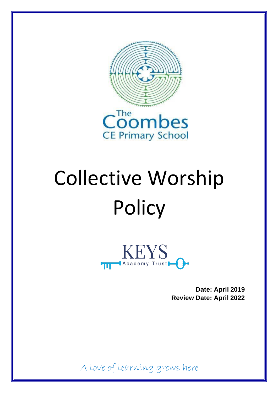



# Collective Worship **Policy**



**Date: April 2019 Review Date: April 2022**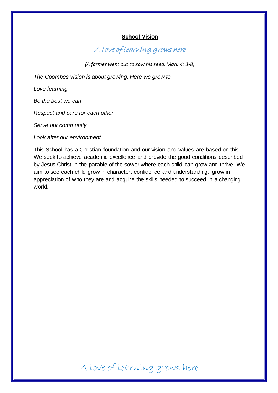### **School Vision**

A love of learning grows here

*(A farmer went out to sow his seed. Mark 4: 3-8)*

*The Coombes vision is about growing. Here we grow to* 

*Love learning*

*Be the best we can*

*Respect and care for each other*

*Serve our community*

*Look after our environment*

This School has a Christian foundation and our vision and values are based on this. We seek to achieve academic excellence and provide the good conditions described by Jesus Christ in the parable of the sower where each child can grow and thrive. We aim to see each child grow in character, confidence and understanding, grow in appreciation of who they are and acquire the skills needed to succeed in a changing world.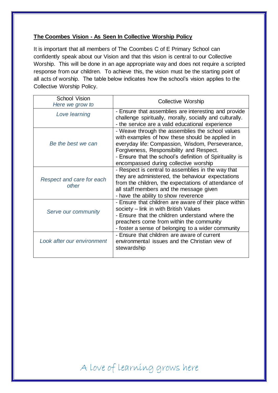## **The Coombes Vision - As Seen In Collective Worship Policy**

It is important that all members of The Coombes C of E Primary School can confidently speak about our Vision and that this vision is central to our Collective Worship. This will be done in an age appropriate way and does not require a scripted response from our children. To achieve this, the vision must be the starting point of all acts of worship. The table below indicates how the school's vision applies to the Collective Worship Policy.

| <b>School Vision</b><br>Here we grow to | <b>Collective Worship</b>                                                                                                                                                                                                                                                                                |
|-----------------------------------------|----------------------------------------------------------------------------------------------------------------------------------------------------------------------------------------------------------------------------------------------------------------------------------------------------------|
| Love learning                           | - Ensure that assemblies are interesting and provide<br>challenge spiritually, morally, socially and culturally.<br>- the service are a valid educational experience                                                                                                                                     |
| Be the best we can                      | - Weave through the assemblies the school values<br>with examples of how these should be applied in<br>everyday life: Compassion, Wisdom, Perseverance,<br>Forgiveness, Responsibility and Respect.<br>- Ensure that the school's definition of Spirituality is<br>encompassed during collective worship |
| Respect and care for each<br>other      | - Respect is central to assemblies in the way that<br>they are administered, the behaviour expectations<br>from the children, the expectations of attendance of<br>all staff members and the message given<br>- have the ability to show reverence                                                       |
| Serve our community                     | - Ensure that children are aware of their place within<br>society - link in with British Values<br>- Ensure that the children understand where the<br>preachers come from within the community<br>- foster a sense of belonging to a wider community                                                     |
| Look after our environment              | - Ensure that children are aware of current<br>environmental issues and the Christian view of<br>stewardship                                                                                                                                                                                             |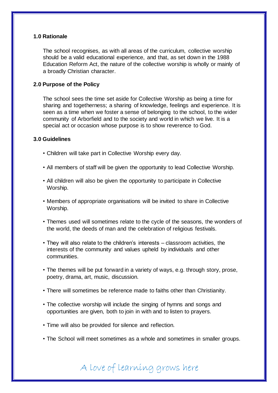#### **1.0 Rationale**

The school recognises, as with all areas of the curriculum, collective worship should be a valid educational experience, and that, as set down in the 1988 Education Reform Act, the nature of the collective worship is wholly or mainly of a broadly Christian character.

#### **2.0 Purpose of the Policy**

The school sees the time set aside for Collective Worship as being a time for sharing and togetherness; a sharing of knowledge, feelings and experience. It is seen as a time when we foster a sense of belonging to the school, to the wider community of Arborfield and to the society and world in which we live. It is a special act or occasion whose purpose is to show reverence to God.

#### **3.0 Guidelines**

- Children will take part in Collective Worship every day.
- All members of staff will be given the opportunity to lead Collective Worship.
- All children will also be given the opportunity to participate in Collective Worship.
- Members of appropriate organisations will be invited to share in Collective Worship.
- Themes used will sometimes relate to the cycle of the seasons, the wonders of the world, the deeds of man and the celebration of religious festivals.
- They will also relate to the children's interests classroom activities, the interests of the community and values upheld by individuals and other communities.
- The themes will be put forward in a variety of ways, e.g. through story, prose, poetry, drama, art, music, discussion.
- There will sometimes be reference made to faiths other than Christianity.
- The collective worship will include the singing of hymns and songs and opportunities are given, both to join in with and to listen to prayers.
- Time will also be provided for silence and reflection.
- The School will meet sometimes as a whole and sometimes in smaller groups.